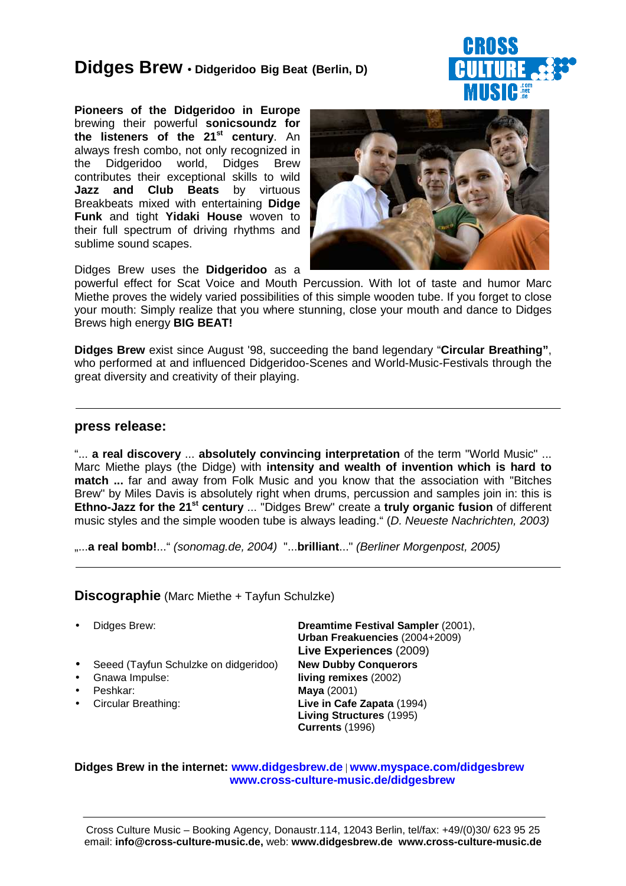# **Didges Brew** • **Didgeridoo Big Beat (Berlin, D)**

**Pioneers of the Didgeridoo in Europe** brewing their powerful **sonicsoundz for the listeners of the 21st century**. An always fresh combo, not only recognized in the Didgeridoo world, Didges Brew contributes their exceptional skills to wild **Jazz and Club Beats** by virtuous Breakbeats mixed with entertaining **Didge Funk** and tight **Yidaki House** woven to their full spectrum of driving rhythms and sublime sound scapes.



Didges Brew uses the **Didgeridoo** as a

powerful effect for Scat Voice and Mouth Percussion. With lot of taste and humor Marc Miethe proves the widely varied possibilities of this simple wooden tube. If you forget to close your mouth: Simply realize that you where stunning, close your mouth and dance to Didges Brews high energy **BIG BEAT!**

**Didges Brew** exist since August '98, succeeding the band legendary "**Circular Breathing"**, who performed at and influenced Didgeridoo-Scenes and World-Music-Festivals through the great diversity and creativity of their playing.

## **press release:**

"... **a real discovery** ... **absolutely convincing interpretation** of the term "World Music" ... Marc Miethe plays (the Didge) with **intensity and wealth of invention which is hard to match ...** far and away from Folk Music and you know that the association with "Bitches Brew" by Miles Davis is absolutely right when drums, percussion and samples join in: this is **Ethno-Jazz for the 21st century** ... "Didges Brew" create a **truly organic fusion** of different music styles and the simple wooden tube is always leading." (D. Neueste Nachrichten, 2003)

....a real bomb!..." (sonomag.de, 2004) "...brilliant..." (Berliner Morgenpost, 2005)

**Discographie** (Marc Miethe + Tayfun Schulzke)

- 
- Seeed (Tayfun Schulzke on didgeridoo) **New Dubby Conquerors**
- 
- 
- 

• Didges Brew: **Dreamtime Festival Sampler** (2001), **Urban Freakuencies** (2004+2009) **Live Experiences** (2009) • Gnawa Impulse: **living remixes** (2002) • Peshkar: **Maya** (2001) • Circular Breathing: **Live in Cafe Zapata** (1994) **Living Structures** (1995) **Currents** (1996)

### **Didges Brew in the internet: www.didgesbrew.de** | **www.myspace.com/didgesbrew www.cross-culture-music.de/didgesbrew**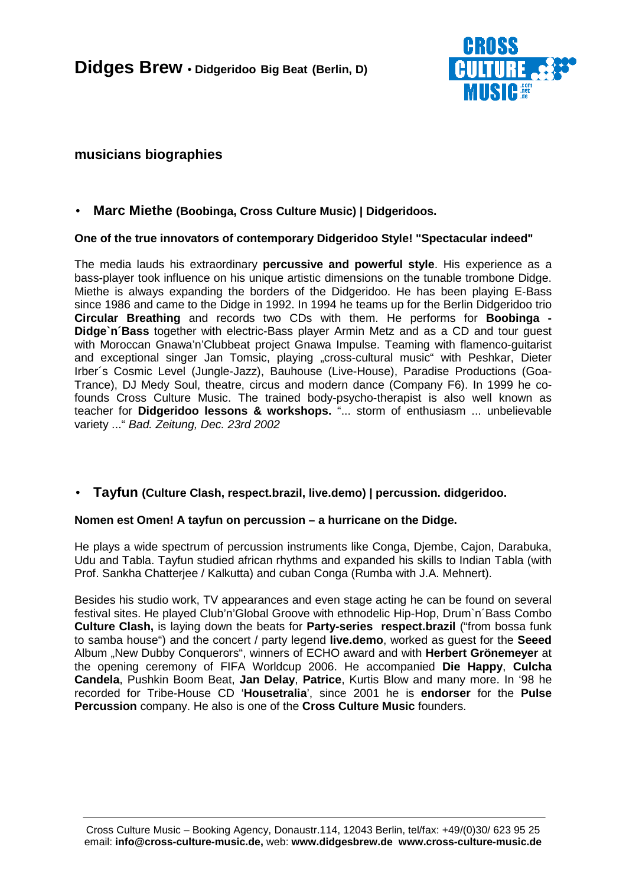

# **musicians biographies**

# • **Marc Miethe (Boobinga, Cross Culture Music) | Didgeridoos.**

## **One of the true innovators of contemporary Didgeridoo Style! "Spectacular indeed"**

The media lauds his extraordinary **percussive and powerful style**. His experience as a bass-player took influence on his unique artistic dimensions on the tunable trombone Didge. Miethe is always expanding the borders of the Didgeridoo. He has been playing E-Bass since 1986 and came to the Didge in 1992. In 1994 he teams up for the Berlin Didgeridoo trio **Circular Breathing** and records two CDs with them. He performs for **Boobinga - Didge`n´Bass** together with electric-Bass player Armin Metz and as a CD and tour guest with Moroccan Gnawa'n'Clubbeat project Gnawa Impulse. Teaming with flamenco-guitarist and exceptional singer Jan Tomsic, playing "cross-cultural music" with Peshkar, Dieter Irber´s Cosmic Level (Jungle-Jazz), Bauhouse (Live-House), Paradise Productions (Goa-Trance), DJ Medy Soul, theatre, circus and modern dance (Company F6). In 1999 he cofounds Cross Culture Music. The trained body-psycho-therapist is also well known as teacher for **Didgeridoo lessons & workshops.** "... storm of enthusiasm ... unbelievable variety ..." Bad. Zeitung, Dec. 23rd 2002

## • **Tayfun (Culture Clash, respect.brazil, live.demo) | percussion. didgeridoo.**

### **Nomen est Omen! A tayfun on percussion – a hurricane on the Didge.**

He plays a wide spectrum of percussion instruments like Conga, Djembe, Cajon, Darabuka, Udu and Tabla. Tayfun studied african rhythms and expanded his skills to Indian Tabla (with Prof. Sankha Chatterjee / Kalkutta) and cuban Conga (Rumba with J.A. Mehnert).

Besides his studio work, TV appearances and even stage acting he can be found on several festival sites. He played Club'n'Global Groove with ethnodelic Hip-Hop, Drum`n´Bass Combo **Culture Clash,** is laying down the beats for **Party-series respect.brazil** ("from bossa funk to samba house") and the concert / party legend **live.demo**, worked as guest for the **Seeed** Album "New Dubby Conquerors", winners of ECHO award and with **Herbert Grönemeyer** at the opening ceremony of FIFA Worldcup 2006. He accompanied **Die Happy**, **Culcha Candela**, Pushkin Boom Beat, **Jan Delay**, **Patrice**, Kurtis Blow and many more. In '98 he recorded for Tribe-House CD '**Housetralia**', since 2001 he is **endorser** for the **Pulse Percussion** company. He also is one of the **Cross Culture Music** founders.

Cross Culture Music – Booking Agency, Donaustr.114, 12043 Berlin, tel/fax: +49/(0)30/ 623 95 25 email: **info@cross-culture-music.de,** web: **www.didgesbrew.de www.cross-culture-music.de**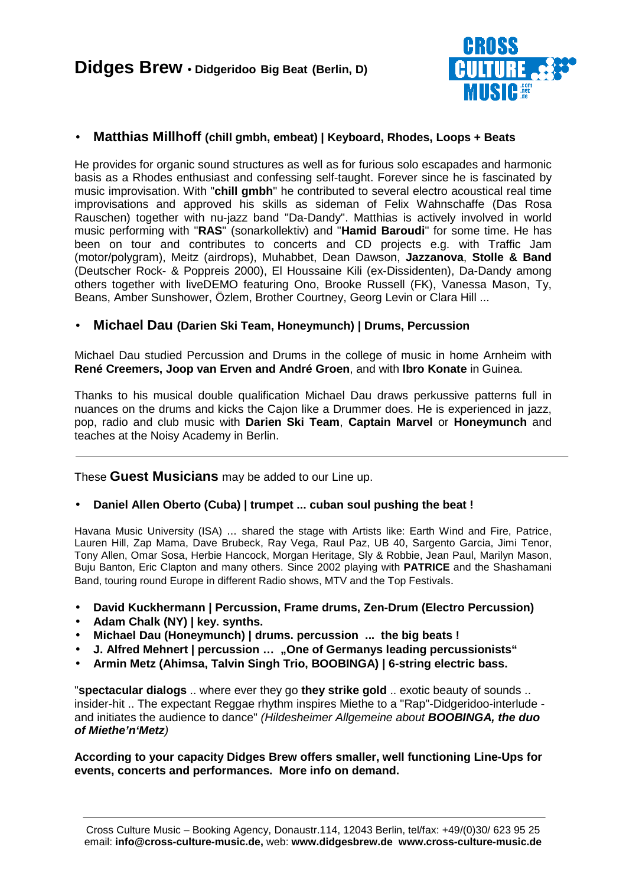

# • **Matthias Millhoff (chill gmbh, embeat) | Keyboard, Rhodes, Loops + Beats**

He provides for organic sound structures as well as for furious solo escapades and harmonic basis as a Rhodes enthusiast and confessing self-taught. Forever since he is fascinated by music improvisation. With "**chill gmbh**" he contributed to several electro acoustical real time improvisations and approved his skills as sideman of Felix Wahnschaffe (Das Rosa Rauschen) together with nu-jazz band "Da-Dandy". Matthias is actively involved in world music performing with "**RAS**" (sonarkollektiv) and "**Hamid Baroudi**" for some time. He has been on tour and contributes to concerts and CD projects e.g. with Traffic Jam (motor/polygram), Meitz (airdrops), Muhabbet, Dean Dawson, **Jazzanova**, **Stolle & Band** (Deutscher Rock- & Poppreis 2000), El Houssaine Kili (ex-Dissidenten), Da-Dandy among others together with liveDEMO featuring Ono, Brooke Russell (FK), Vanessa Mason, Ty, Beans, Amber Sunshower, Özlem, Brother Courtney, Georg Levin or Clara Hill ...

## • **Michael Dau (Darien Ski Team, Honeymunch) | Drums, Percussion**

Michael Dau studied Percussion and Drums in the college of music in home Arnheim with **René Creemers, Joop van Erven and André Groen**, and with **Ibro Konate** in Guinea.

Thanks to his musical double qualification Michael Dau draws perkussive patterns full in nuances on the drums and kicks the Cajon like a Drummer does. He is experienced in jazz, pop, radio and club music with **Darien Ski Team**, **Captain Marvel** or **Honeymunch** and teaches at the Noisy Academy in Berlin.

These **Guest Musicians** may be added to our Line up.

## • **Daniel Allen Oberto (Cuba) | trumpet ... cuban soul pushing the beat !**

Havana Music University (ISA) ... shared the stage with Artists like: Earth Wind and Fire, Patrice, Lauren Hill, Zap Mama, Dave Brubeck, Ray Vega, Raul Paz, UB 40, Sargento Garcia, Jimi Tenor, Tony Allen, Omar Sosa, Herbie Hancock, Morgan Heritage, Sly & Robbie, Jean Paul, Marilyn Mason, Buju Banton, Eric Clapton and many others. Since 2002 playing with **PATRICE** and the Shashamani Band, touring round Europe in different Radio shows, MTV and the Top Festivals.

- **David Kuckhermann | Percussion, Frame drums, Zen-Drum (Electro Percussion)**
- **Adam Chalk (NY) | key. synths.**
- **Michael Dau (Honeymunch) | drums. percussion ... the big beats !**
- **J. Alfred Mehnert | percussion … "One of Germanys leading percussionists"**
- **Armin Metz (Ahimsa, Talvin Singh Trio, BOOBINGA) | 6-string electric bass.**

"**spectacular dialogs** .. where ever they go **they strike gold** .. exotic beauty of sounds .. insider-hit .. The expectant Reggae rhythm inspires Miethe to a "Rap"-Didgeridoo-interlude and initiates the audience to dance" (Hildesheimer Allgemeine about **BOOBINGA, the duo of Miethe'n'Metz**)

**According to your capacity Didges Brew offers smaller, well functioning Line-Ups for events, concerts and performances. More info on demand.**